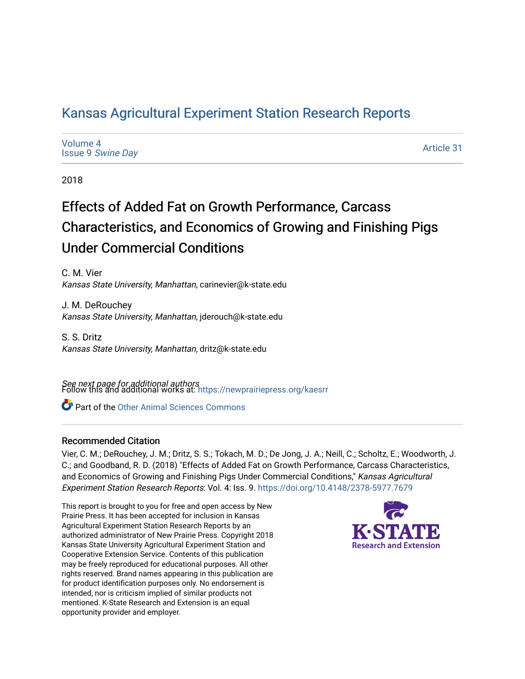# [Kansas Agricultural Experiment Station Research Reports](https://newprairiepress.org/kaesrr)

[Volume 4](https://newprairiepress.org/kaesrr/vol4) Issue 9 [Swine Day](https://newprairiepress.org/kaesrr/vol4/iss9)

[Article 31](https://newprairiepress.org/kaesrr/vol4/iss9/31) 

2018

# Effects of Added Fat on Growth Performance, Carcass Characteristics, and Economics of Growing and Finishing Pigs Under Commercial Conditions

C. M. Vier Kansas State University, Manhattan, carinevier@k-state.edu

J. M. DeRouchey Kansas State University, Manhattan, jderouch@k-state.edu

S. S. Dritz Kansas State University, Manhattan, dritz@k-state.edu

**See next page for additional authors**<br>Follow this and additional works at: https://newprairiepress.org/kaesrr

Part of the [Other Animal Sciences Commons](http://network.bepress.com/hgg/discipline/82?utm_source=newprairiepress.org%2Fkaesrr%2Fvol4%2Fiss9%2F31&utm_medium=PDF&utm_campaign=PDFCoverPages)

## Recommended Citation

Vier, C. M.; DeRouchey, J. M.; Dritz, S. S.; Tokach, M. D.; De Jong, J. A.; Neill, C.; Scholtz, E.; Woodworth, J. C.; and Goodband, R. D. (2018) "Effects of Added Fat on Growth Performance, Carcass Characteristics, and Economics of Growing and Finishing Pigs Under Commercial Conditions," Kansas Agricultural Experiment Station Research Reports: Vol. 4: Iss. 9. <https://doi.org/10.4148/2378-5977.7679>

This report is brought to you for free and open access by New Prairie Press. It has been accepted for inclusion in Kansas Agricultural Experiment Station Research Reports by an authorized administrator of New Prairie Press. Copyright 2018 Kansas State University Agricultural Experiment Station and Cooperative Extension Service. Contents of this publication may be freely reproduced for educational purposes. All other rights reserved. Brand names appearing in this publication are for product identification purposes only. No endorsement is intended, nor is criticism implied of similar products not mentioned. K-State Research and Extension is an equal opportunity provider and employer.

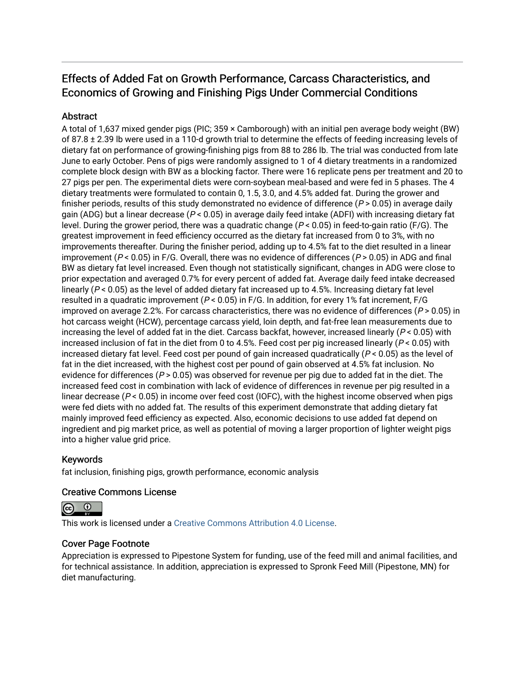# Effects of Added Fat on Growth Performance, Carcass Characteristics, and Economics of Growing and Finishing Pigs Under Commercial Conditions

# **Abstract**

A total of 1,637 mixed gender pigs (PIC; 359 × Camborough) with an initial pen average body weight (BW) of 87.8  $\pm$  2.39 lb were used in a 110-d growth trial to determine the effects of feeding increasing levels of dietary fat on performance of growing-finishing pigs from 88 to 286 lb. The trial was conducted from late June to early October. Pens of pigs were randomly assigned to 1 of 4 dietary treatments in a randomized complete block design with BW as a blocking factor. There were 16 replicate pens per treatment and 20 to 27 pigs per pen. The experimental diets were corn-soybean meal-based and were fed in 5 phases. The 4 dietary treatments were formulated to contain 0, 1.5, 3.0, and 4.5% added fat. During the grower and finisher periods, results of this study demonstrated no evidence of difference ( $P > 0.05$ ) in average daily gain (ADG) but a linear decrease ( $P < 0.05$ ) in average daily feed intake (ADFI) with increasing dietary fat level. During the grower period, there was a quadratic change ( $P < 0.05$ ) in feed-to-gain ratio (F/G). The greatest improvement in feed efficiency occurred as the dietary fat increased from 0 to 3%, with no improvements thereafter. During the finisher period, adding up to 4.5% fat to the diet resulted in a linear improvement ( $P < 0.05$ ) in F/G. Overall, there was no evidence of differences ( $P > 0.05$ ) in ADG and final BW as dietary fat level increased. Even though not statistically significant, changes in ADG were close to prior expectation and averaged 0.7% for every percent of added fat. Average daily feed intake decreased linearly ( $P < 0.05$ ) as the level of added dietary fat increased up to 4.5%. Increasing dietary fat level resulted in a quadratic improvement ( $P < 0.05$ ) in F/G. In addition, for every 1% fat increment, F/G improved on average 2.2%. For carcass characteristics, there was no evidence of differences ( $P > 0.05$ ) in hot carcass weight (HCW), percentage carcass yield, loin depth, and fat-free lean measurements due to increasing the level of added fat in the diet. Carcass backfat, however, increased linearly ( $P < 0.05$ ) with increased inclusion of fat in the diet from 0 to 4.5%. Feed cost per pig increased linearly ( $P < 0.05$ ) with increased dietary fat level. Feed cost per pound of gain increased quadratically ( $P < 0.05$ ) as the level of fat in the diet increased, with the highest cost per pound of gain observed at 4.5% fat inclusion. No evidence for differences ( $P > 0.05$ ) was observed for revenue per pig due to added fat in the diet. The increased feed cost in combination with lack of evidence of differences in revenue per pig resulted in a linear decrease ( $P < 0.05$ ) in income over feed cost (IOFC), with the highest income observed when pigs were fed diets with no added fat. The results of this experiment demonstrate that adding dietary fat mainly improved feed efficiency as expected. Also, economic decisions to use added fat depend on ingredient and pig market price, as well as potential of moving a larger proportion of lighter weight pigs into a higher value grid price.

# Keywords

fat inclusion, finishing pigs, growth performance, economic analysis

## Creative Commons License

 $\odot$ 

This work is licensed under a [Creative Commons Attribution 4.0 License](https://creativecommons.org/licenses/by/4.0/).

## Cover Page Footnote

Appreciation is expressed to Pipestone System for funding, use of the feed mill and animal facilities, and for technical assistance. In addition, appreciation is expressed to Spronk Feed Mill (Pipestone, MN) for diet manufacturing.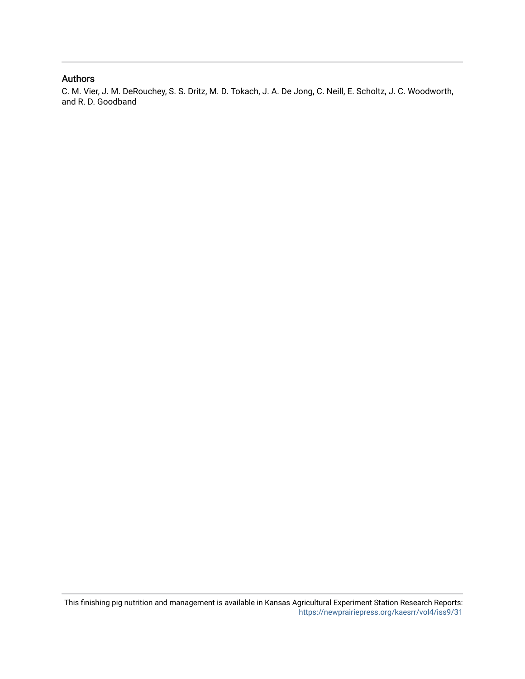### Authors

C. M. Vier, J. M. DeRouchey, S. S. Dritz, M. D. Tokach, J. A. De Jong, C. Neill, E. Scholtz, J. C. Woodworth, and R. D. Goodband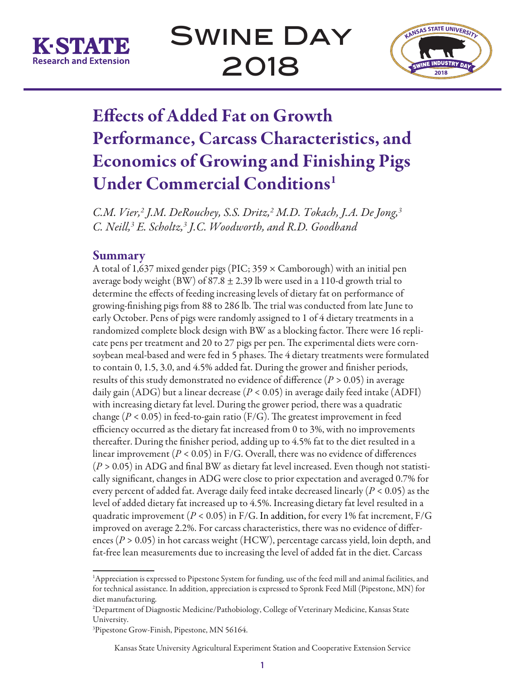



# Effects of Added Fat on Growth Performance, Carcass Characteristics, and Economics of Growing and Finishing Pigs Under Commercial Conditions<sup>1</sup>

*C.M. Vier,2 J.M. DeRouchey, S.S. Dritz,2 M.D. Tokach, J.A. De Jong,3 C. Neill,3 E. Scholtz,3 J.C. Woodworth, and R.D. Goodband* 

# **Summary**

A total of 1,637 mixed gender pigs (PIC;  $359 \times$  Camborough) with an initial pen average body weight (BW) of 87.8  $\pm$  2.39 lb were used in a 110-d growth trial to determine the effects of feeding increasing levels of dietary fat on performance of growing-finishing pigs from 88 to 286 lb. The trial was conducted from late June to early October. Pens of pigs were randomly assigned to 1 of 4 dietary treatments in a randomized complete block design with BW as a blocking factor. There were 16 replicate pens per treatment and 20 to 27 pigs per pen. The experimental diets were cornsoybean meal-based and were fed in 5 phases. The 4 dietary treatments were formulated to contain 0, 1.5, 3.0, and 4.5% added fat. During the grower and finisher periods, results of this study demonstrated no evidence of difference (*P >* 0.05) in average daily gain (ADG) but a linear decrease (*P <* 0.05) in average daily feed intake (ADFI) with increasing dietary fat level. During the grower period, there was a quadratic change ( $P < 0.05$ ) in feed-to-gain ratio ( $F/G$ ). The greatest improvement in feed efficiency occurred as the dietary fat increased from 0 to 3%, with no improvements thereafter. During the finisher period, adding up to 4.5% fat to the diet resulted in a linear improvement (*P <* 0.05) in F/G. Overall, there was no evidence of differences (*P >* 0.05) in ADG and final BW as dietary fat level increased. Even though not statistically significant, changes in ADG were close to prior expectation and averaged 0.7% for every percent of added fat. Average daily feed intake decreased linearly (*P <* 0.05) as the level of added dietary fat increased up to 4.5%. Increasing dietary fat level resulted in a quadratic improvement (*P <* 0.05) in F/G. In addition, for every 1% fat increment, F/G improved on average 2.2%. For carcass characteristics, there was no evidence of differences (*P* > 0.05) in hot carcass weight (HCW), percentage carcass yield, loin depth, and fat-free lean measurements due to increasing the level of added fat in the diet. Carcass

<sup>1</sup> Appreciation is expressed to Pipestone System for funding, use of the feed mill and animal facilities, and for technical assistance. In addition, appreciation is expressed to Spronk Feed Mill (Pipestone, MN) for diet manufacturing.

<sup>2</sup> Department of Diagnostic Medicine/Pathobiology, College of Veterinary Medicine, Kansas State University.

<sup>3</sup> Pipestone Grow-Finish, Pipestone, MN 56164.

Kansas State University Agricultural Experiment Station and Cooperative Extension Service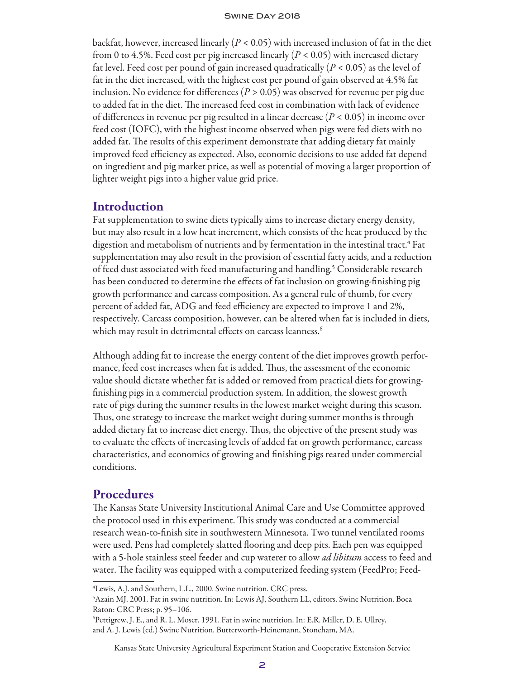backfat, however, increased linearly (*P <* 0.05) with increased inclusion of fat in the diet from 0 to 4.5%. Feed cost per pig increased linearly (*P <* 0.05) with increased dietary fat level. Feed cost per pound of gain increased quadratically (*P* < 0.05) as the level of fat in the diet increased, with the highest cost per pound of gain observed at 4.5% fat inclusion. No evidence for differences ( $P > 0.05$ ) was observed for revenue per pig due to added fat in the diet. The increased feed cost in combination with lack of evidence of differences in revenue per pig resulted in a linear decrease (*P* < 0.05) in income over feed cost (IOFC), with the highest income observed when pigs were fed diets with no added fat. The results of this experiment demonstrate that adding dietary fat mainly improved feed efficiency as expected. Also, economic decisions to use added fat depend on ingredient and pig market price, as well as potential of moving a larger proportion of lighter weight pigs into a higher value grid price.

## Introduction

Fat supplementation to swine diets typically aims to increase dietary energy density, but may also result in a low heat increment, which consists of the heat produced by the digestion and metabolism of nutrients and by fermentation in the intestinal tract.<sup>4</sup> Fat supplementation may also result in the provision of essential fatty acids, and a reduction of feed dust associated with feed manufacturing and handling.<sup>5</sup> Considerable research has been conducted to determine the effects of fat inclusion on growing-finishing pig growth performance and carcass composition. As a general rule of thumb, for every percent of added fat, ADG and feed efficiency are expected to improve 1 and 2%, respectively. Carcass composition, however, can be altered when fat is included in diets, which may result in detrimental effects on carcass leanness.<sup>6</sup>

Although adding fat to increase the energy content of the diet improves growth performance, feed cost increases when fat is added. Thus, the assessment of the economic value should dictate whether fat is added or removed from practical diets for growingfinishing pigs in a commercial production system. In addition, the slowest growth rate of pigs during the summer results in the lowest market weight during this season. Thus, one strategy to increase the market weight during summer months is through added dietary fat to increase diet energy. Thus, the objective of the present study was to evaluate the effects of increasing levels of added fat on growth performance, carcass characteristics, and economics of growing and finishing pigs reared under commercial conditions.

## Procedures

The Kansas State University Institutional Animal Care and Use Committee approved the protocol used in this experiment. This study was conducted at a commercial research wean-to-finish site in southwestern Minnesota. Two tunnel ventilated rooms were used. Pens had completely slatted flooring and deep pits. Each pen was equipped with a 5-hole stainless steel feeder and cup waterer to allow *ad libitum* access to feed and water. The facility was equipped with a computerized feeding system (FeedPro; Feed-

Kansas State University Agricultural Experiment Station and Cooperative Extension Service

<sup>4</sup> Lewis, A.J. and Southern, L.L., 2000. Swine nutrition. CRC press.

<sup>5</sup> Azain MJ. 2001. Fat in swine nutrition. In: Lewis AJ, Southern LL, editors. Swine Nutrition. Boca Raton: CRC Press; p. 95–106.

<sup>6</sup> Pettigrew, J. E., and R. L. Moser. 1991. Fat in swine nutrition. In: E.R. Miller, D. E. Ullrey, and A. J. Lewis (ed.) Swine Nutrition. Butterworth-Heinemann, Stoneham, MA.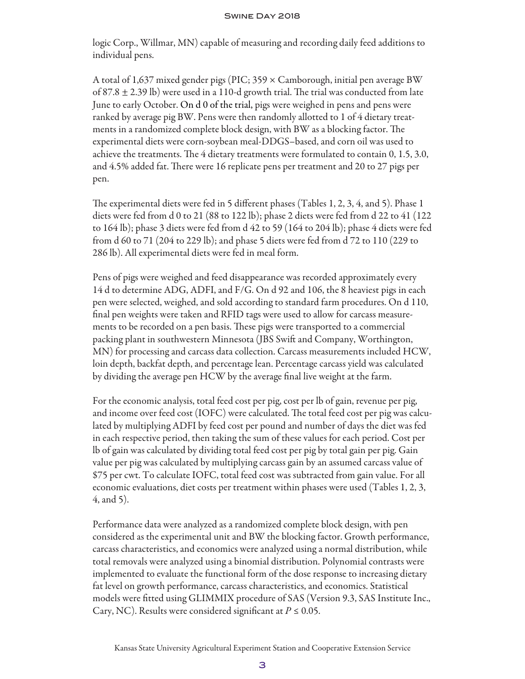logic Corp., Willmar, MN) capable of measuring and recording daily feed additions to individual pens.

A total of 1,637 mixed gender pigs (PIC; 359 × Camborough, initial pen average BW of  $87.8 \pm 2.39$  lb) were used in a 110-d growth trial. The trial was conducted from late June to early October. On d 0 of the trial, pigs were weighed in pens and pens were ranked by average pig BW. Pens were then randomly allotted to 1 of 4 dietary treatments in a randomized complete block design, with BW as a blocking factor. The experimental diets were corn-soybean meal-DDGS–based, and corn oil was used to achieve the treatments. The 4 dietary treatments were formulated to contain 0, 1.5, 3.0, and 4.5% added fat. There were 16 replicate pens per treatment and 20 to 27 pigs per pen.

The experimental diets were fed in 5 different phases (Tables 1, 2, 3, 4, and 5). Phase 1 diets were fed from d 0 to 21 (88 to 122 lb); phase 2 diets were fed from d 22 to 41 (122 to 164 lb); phase 3 diets were fed from d 42 to 59 (164 to 204 lb); phase 4 diets were fed from d 60 to 71 (204 to 229 lb); and phase 5 diets were fed from d 72 to 110 (229 to 286 lb). All experimental diets were fed in meal form.

Pens of pigs were weighed and feed disappearance was recorded approximately every 14 d to determine ADG, ADFI, and F/G. On d 92 and 106, the 8 heaviest pigs in each pen were selected, weighed, and sold according to standard farm procedures. On d 110, final pen weights were taken and RFID tags were used to allow for carcass measurements to be recorded on a pen basis. These pigs were transported to a commercial packing plant in southwestern Minnesota (JBS Swift and Company, Worthington, MN) for processing and carcass data collection. Carcass measurements included HCW, loin depth, backfat depth, and percentage lean. Percentage carcass yield was calculated by dividing the average pen HCW by the average final live weight at the farm.

For the economic analysis, total feed cost per pig, cost per lb of gain, revenue per pig, and income over feed cost (IOFC) were calculated. The total feed cost per pig was calculated by multiplying ADFI by feed cost per pound and number of days the diet was fed in each respective period, then taking the sum of these values for each period. Cost per lb of gain was calculated by dividing total feed cost per pig by total gain per pig. Gain value per pig was calculated by multiplying carcass gain by an assumed carcass value of \$75 per cwt. To calculate IOFC, total feed cost was subtracted from gain value. For all economic evaluations, diet costs per treatment within phases were used (Tables 1, 2, 3, 4, and 5).

Performance data were analyzed as a randomized complete block design, with pen considered as the experimental unit and BW the blocking factor. Growth performance, carcass characteristics, and economics were analyzed using a normal distribution, while total removals were analyzed using a binomial distribution. Polynomial contrasts were implemented to evaluate the functional form of the dose response to increasing dietary fat level on growth performance, carcass characteristics, and economics. Statistical models were fitted using GLIMMIX procedure of SAS (Version 9.3, SAS Institute Inc., Cary, NC). Results were considered significant at *P ≤* 0.05.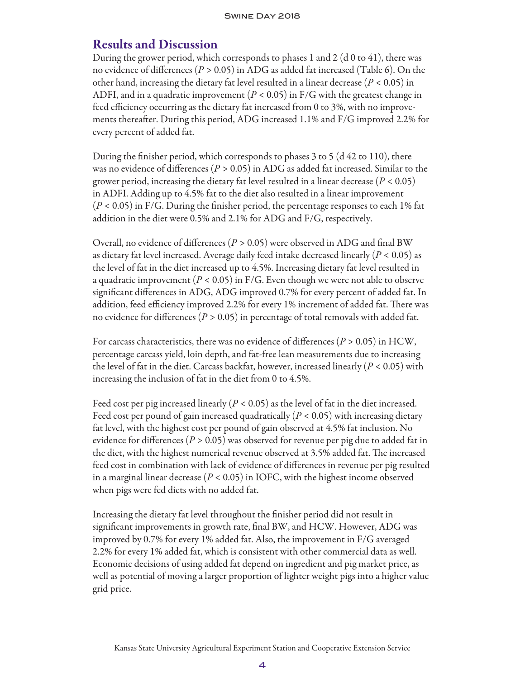# Results and Discussion

During the grower period, which corresponds to phases 1 and 2 (d 0 to 41), there was no evidence of differences (*P >* 0.05) in ADG as added fat increased (Table 6). On the other hand, increasing the dietary fat level resulted in a linear decrease (*P <* 0.05) in ADFI, and in a quadratic improvement (*P <* 0.05) in F/G with the greatest change in feed efficiency occurring as the dietary fat increased from 0 to 3%, with no improvements thereafter. During this period, ADG increased 1.1% and F/G improved 2.2% for every percent of added fat.

During the finisher period, which corresponds to phases 3 to 5 (d 42 to 110), there was no evidence of differences (*P >* 0.05) in ADG as added fat increased. Similar to the grower period, increasing the dietary fat level resulted in a linear decrease (*P <* 0.05) in ADFI. Adding up to 4.5% fat to the diet also resulted in a linear improvement (*P <* 0.05) in F/G. During the finisher period, the percentage responses to each 1% fat addition in the diet were 0.5% and 2.1% for ADG and F/G, respectively.

Overall, no evidence of differences (*P >* 0.05) were observed in ADG and final BW as dietary fat level increased. Average daily feed intake decreased linearly (*P <* 0.05) as the level of fat in the diet increased up to 4.5%. Increasing dietary fat level resulted in a quadratic improvement (*P <* 0.05) in F/G. Even though we were not able to observe significant differences in ADG, ADG improved 0.7% for every percent of added fat. In addition, feed efficiency improved 2.2% for every 1% increment of added fat. There was no evidence for differences (*P >* 0.05) in percentage of total removals with added fat.

For carcass characteristics, there was no evidence of differences ( $P > 0.05$ ) in HCW, percentage carcass yield, loin depth, and fat-free lean measurements due to increasing the level of fat in the diet. Carcass backfat, however, increased linearly (*P <* 0.05) with increasing the inclusion of fat in the diet from 0 to 4.5%.

Feed cost per pig increased linearly (*P <* 0.05) as the level of fat in the diet increased. Feed cost per pound of gain increased quadratically  $(P < 0.05)$  with increasing dietary fat level, with the highest cost per pound of gain observed at 4.5% fat inclusion. No evidence for differences (*P* > 0.05) was observed for revenue per pig due to added fat in the diet, with the highest numerical revenue observed at 3.5% added fat. The increased feed cost in combination with lack of evidence of differences in revenue per pig resulted in a marginal linear decrease (*P* < 0.05) in IOFC, with the highest income observed when pigs were fed diets with no added fat.

Increasing the dietary fat level throughout the finisher period did not result in significant improvements in growth rate, final BW, and HCW. However, ADG was improved by 0.7% for every 1% added fat. Also, the improvement in F/G averaged 2.2% for every 1% added fat, which is consistent with other commercial data as well. Economic decisions of using added fat depend on ingredient and pig market price, as well as potential of moving a larger proportion of lighter weight pigs into a higher value grid price.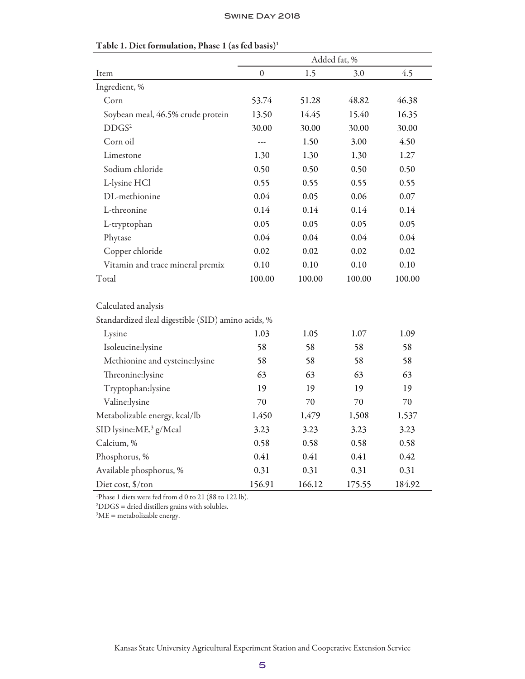|                                                    | Added fat, %     |        |        |        |
|----------------------------------------------------|------------------|--------|--------|--------|
| Item                                               | $\boldsymbol{0}$ | 1.5    | 3.0    | 4.5    |
| Ingredient, %                                      |                  |        |        |        |
| Corn                                               | 53.74            | 51.28  | 48.82  | 46.38  |
| Soybean meal, 46.5% crude protein                  | 13.50            | 14.45  | 15.40  | 16.35  |
| DDGS <sup>2</sup>                                  | 30.00            | 30.00  | 30.00  | 30.00  |
| Corn oil                                           | ---              | 1.50   | 3.00   | 4.50   |
| Limestone                                          | 1.30             | 1.30   | 1.30   | 1.27   |
| Sodium chloride                                    | 0.50             | 0.50   | 0.50   | 0.50   |
| L-lysine HCl                                       | 0.55             | 0.55   | 0.55   | 0.55   |
| DL-methionine                                      | 0.04             | 0.05   | 0.06   | 0.07   |
| L-threonine                                        | 0.14             | 0.14   | 0.14   | 0.14   |
| L-tryptophan                                       | 0.05             | 0.05   | 0.05   | 0.05   |
| Phytase                                            | 0.04             | 0.04   | 0.04   | 0.04   |
| Copper chloride                                    | 0.02             | 0.02   | 0.02   | 0.02   |
| Vitamin and trace mineral premix                   | 0.10             | 0.10   | 0.10   | 0.10   |
| Total                                              | 100.00           | 100.00 | 100.00 | 100.00 |
| Calculated analysis                                |                  |        |        |        |
| Standardized ileal digestible (SID) amino acids, % |                  |        |        |        |
| Lysine                                             | 1.03             | 1.05   | 1.07   | 1.09   |
| Isoleucine:lysine                                  | 58               | 58     | 58     | 58     |
| Methionine and cysteine:lysine                     | 58               | 58     | 58     | 58     |
| Threonine:lysine                                   | 63               | 63     | 63     | 63     |
| Tryptophan:lysine                                  | 19               | 19     | 19     | 19     |
| Valine:lysine                                      | 70               | 70     | 70     | 70     |
| Metabolizable energy, kcal/lb                      | 1,450            | 1,479  | 1,508  | 1,537  |
| SID lysine:ME, <sup>3</sup> g/Mcal                 | 3.23             | 3.23   | 3.23   | 3.23   |
| Calcium, %                                         | 0.58             | 0.58   | 0.58   | 0.58   |
| Phosphorus, %                                      | 0.41             | 0.41   | 0.41   | 0.42   |
| Available phosphorus, %                            | 0.31             | 0.31   | 0.31   | 0.31   |
| Diet cost, \$/ton                                  | 156.91           | 166.12 | 175.55 | 184.92 |

# Table 1. Diet formulation, Phase 1 (as fed basis)<sup>1</sup>

1 Phase 1 diets were fed from d 0 to 21 (88 to 122 lb).

2 DDGS = dried distillers grains with solubles.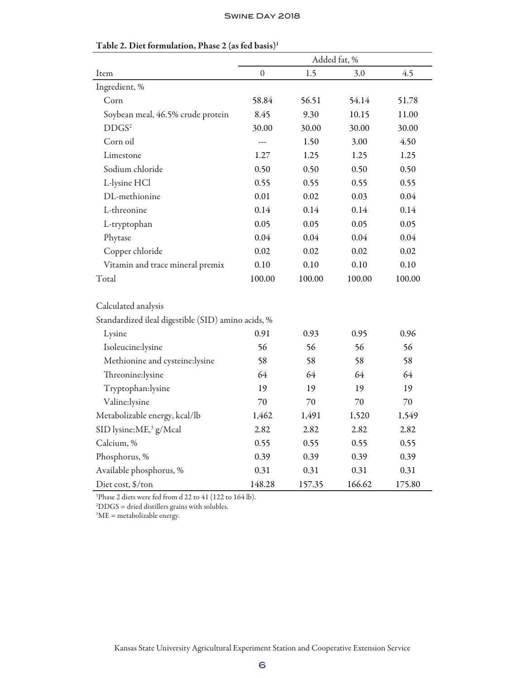|                                                    | Added fat, % |        |        |        |  |
|----------------------------------------------------|--------------|--------|--------|--------|--|
| Item                                               | $\mathbf{0}$ | 1.5    | 3.0    | 4.5    |  |
| Ingredient, %                                      |              |        |        |        |  |
| Corn                                               | 58.84        | 56.51  | 54.14  | 51.78  |  |
| Soybean meal, 46.5% crude protein                  | 8.45         | 9.30   | 10.15  | 11.00  |  |
| DDGS <sup>2</sup>                                  | 30.00        | 30.00  | 30.00  | 30.00  |  |
| Corn oil                                           | $- - -$      | 1.50   | 3.00   | 4.50   |  |
| Limestone                                          | 1.27         | 1.25   | 1.25   | 1.25   |  |
| Sodium chloride                                    | 0.50         | 0.50   | 0.50   | 0.50   |  |
| L-lysine HCl                                       | 0.55         | 0.55   | 0.55   | 0.55   |  |
| DL-methionine                                      | 0.01         | 0.02   | 0.03   | 0.04   |  |
| L-threonine                                        | 0.14         | 0.14   | 0.14   | 0.14   |  |
| L-tryptophan                                       | 0.05         | 0.05   | 0.05   | 0.05   |  |
| Phytase                                            | 0.04         | 0.04   | 0.04   | 0.04   |  |
| Copper chloride                                    | 0.02         | 0.02   | 0.02   | 0.02   |  |
| Vitamin and trace mineral premix                   | 0.10         | 0.10   | 0.10   | 0.10   |  |
| Total                                              | 100.00       | 100.00 | 100.00 | 100.00 |  |
|                                                    |              |        |        |        |  |
| Calculated analysis                                |              |        |        |        |  |
| Standardized ileal digestible (SID) amino acids, % |              |        |        |        |  |
| Lysine                                             | 0.91         | 0.93   | 0.95   | 0.96   |  |
| Isoleucine:lysine                                  | 56           | 56     | 56     | 56     |  |
| Methionine and cysteine:lysine                     | 58           | 58     | 58     | 58     |  |
| Threonine:lysine                                   | 64           | 64     | 64     | 64     |  |
| Tryptophan:lysine                                  | 19           | 19     | 19     | 19     |  |
| Valine:lysine                                      | 70           | 70     | 70     | $70\,$ |  |
| Metabolizable energy, kcal/lb                      | 1,462        | 1,491  | 1,520  | 1,549  |  |
| SID lysine:ME, <sup>3</sup> g/Mcal                 | 2.82         | 2.82   | 2.82   | 2.82   |  |
| Calcium, %                                         | 0.55         | 0.55   | 0.55   | 0.55   |  |
| Phosphorus, %                                      | 0.39         | 0.39   | 0.39   | 0.39   |  |
| Available phosphorus, %                            | 0.31         | 0.31   | 0.31   | 0.31   |  |
| Diet cost, \$/ton                                  | 148.28       | 157.35 | 166.62 | 175.80 |  |

# Table 2. Diet formulation, Phase 2 (as fed basis)1

1 Phase 2 diets were fed from d 22 to 41 (122 to 164 lb).

2 DDGS = dried distillers grains with solubles.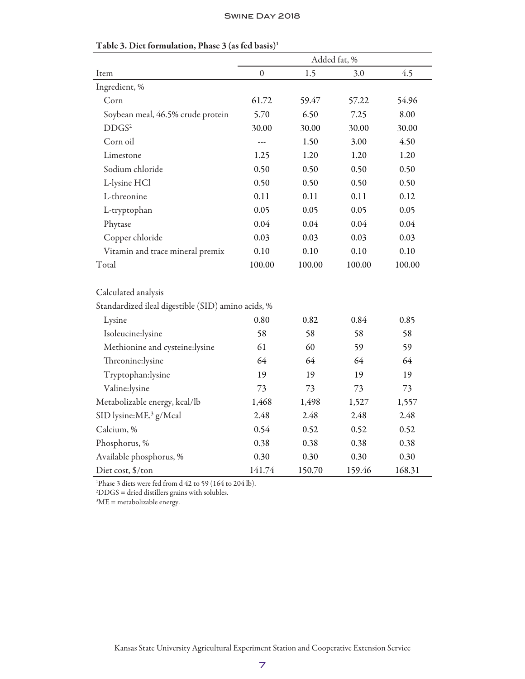|                                                    | Added fat, %     |        |        |        |
|----------------------------------------------------|------------------|--------|--------|--------|
| Item                                               | $\boldsymbol{0}$ | 1.5    | 3.0    | 4.5    |
| Ingredient, %                                      |                  |        |        |        |
| Corn                                               | 61.72            | 59.47  | 57.22  | 54.96  |
| Soybean meal, 46.5% crude protein                  | 5.70             | 6.50   | 7.25   | 8.00   |
| DDGS <sup>2</sup>                                  | 30.00            | 30.00  | 30.00  | 30.00  |
| Corn oil                                           |                  | 1.50   | 3.00   | 4.50   |
| Limestone                                          | 1.25             | 1.20   | 1.20   | 1.20   |
| Sodium chloride                                    | 0.50             | 0.50   | 0.50   | 0.50   |
| L-lysine HCl                                       | 0.50             | 0.50   | 0.50   | 0.50   |
| L-threonine                                        | 0.11             | 0.11   | 0.11   | 0.12   |
| L-tryptophan                                       | 0.05             | 0.05   | 0.05   | 0.05   |
| Phytase                                            | 0.04             | 0.04   | 0.04   | 0.04   |
| Copper chloride                                    | 0.03             | 0.03   | 0.03   | 0.03   |
| Vitamin and trace mineral premix                   | 0.10             | 0.10   | 0.10   | 0.10   |
| Total                                              | 100.00           | 100.00 | 100.00 | 100.00 |
| Calculated analysis                                |                  |        |        |        |
| Standardized ileal digestible (SID) amino acids, % |                  |        |        |        |
| Lysine                                             | 0.80             | 0.82   | 0.84   | 0.85   |
| Isoleucine:lysine                                  | 58               | 58     | 58     | 58     |
| Methionine and cysteine:lysine                     | 61               | 60     | 59     | 59     |
| Threonine:lysine                                   | 64               | 64     | 64     | 64     |
| Tryptophan:lysine                                  | 19               | 19     | 19     | 19     |
| Valine:lysine                                      | 73               | 73     | 73     | 73     |
| Metabolizable energy, kcal/lb                      | 1,468            | 1,498  | 1,527  | 1,557  |
| SID lysine:ME, <sup>3</sup> g/Mcal                 | 2.48             | 2.48   | 2.48   | 2.48   |
| Calcium, %                                         | 0.54             | 0.52   | 0.52   | 0.52   |
| Phosphorus, %                                      | 0.38             | 0.38   | 0.38   | 0.38   |
| Available phosphorus, %                            | 0.30             | 0.30   | 0.30   | 0.30   |
| Diet cost, \$/ton                                  | 141.74           | 150.70 | 159.46 | 168.31 |

# Table 3. Diet formulation, Phase 3 (as fed basis)1

1 Phase 3 diets were fed from d 42 to 59 (164 to 204 lb).

2 DDGS = dried distillers grains with solubles.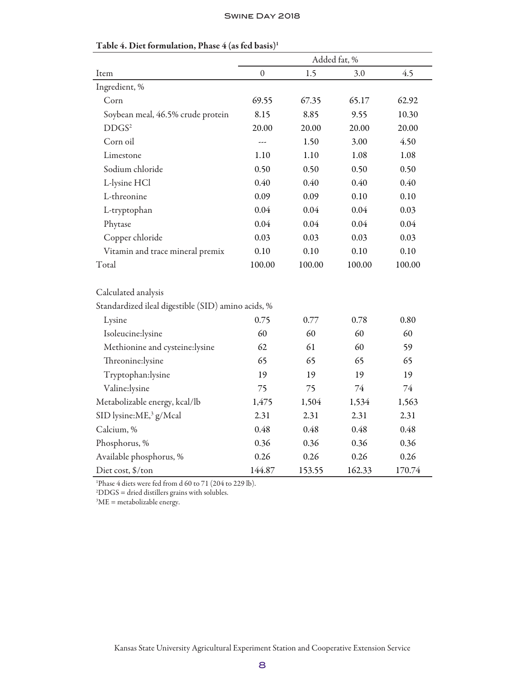|                                                    | Added fat, %     |        |        |        |
|----------------------------------------------------|------------------|--------|--------|--------|
| Item                                               | $\boldsymbol{0}$ | 1.5    | 3.0    | 4.5    |
| Ingredient, %                                      |                  |        |        |        |
| Corn                                               | 69.55            | 67.35  | 65.17  | 62.92  |
| Soybean meal, 46.5% crude protein                  | 8.15             | 8.85   | 9.55   | 10.30  |
| DDGS <sup>2</sup>                                  | 20.00            | 20.00  | 20.00  | 20.00  |
| Corn oil                                           | $- - -$          | 1.50   | 3.00   | 4.50   |
| Limestone                                          | 1.10             | 1.10   | 1.08   | 1.08   |
| Sodium chloride                                    | 0.50             | 0.50   | 0.50   | 0.50   |
| L-lysine HCl                                       | 0.40             | 0.40   | 0.40   | 0.40   |
| L-threonine                                        | 0.09             | 0.09   | 0.10   | 0.10   |
| L-tryptophan                                       | 0.04             | 0.04   | 0.04   | 0.03   |
| Phytase                                            | 0.04             | 0.04   | 0.04   | 0.04   |
| Copper chloride                                    | 0.03             | 0.03   | 0.03   | 0.03   |
| Vitamin and trace mineral premix                   | 0.10             | 0.10   | 0.10   | 0.10   |
| Total                                              | 100.00           | 100.00 | 100.00 | 100.00 |
| Calculated analysis                                |                  |        |        |        |
| Standardized ileal digestible (SID) amino acids, % |                  |        |        |        |
| Lysine                                             | 0.75             | 0.77   | 0.78   | 0.80   |
| Isoleucine:lysine                                  | 60               | 60     | 60     | 60     |
| Methionine and cysteine:lysine                     | 62               | 61     | 60     | 59     |
| Threonine:lysine                                   | 65               | 65     | 65     | 65     |
| Tryptophan:lysine                                  | 19               | 19     | 19     | 19     |
| Valine:lysine                                      | 75               | 75     | 74     | 74     |
| Metabolizable energy, kcal/lb                      | 1,475            | 1,504  | 1,534  | 1,563  |
| SID lysine:ME, <sup>3</sup> g/Mcal                 | 2.31             | 2.31   | 2.31   | 2.31   |
| Calcium, %                                         | 0.48             | 0.48   | 0.48   | 0.48   |
| Phosphorus, %                                      | 0.36             | 0.36   | 0.36   | 0.36   |
| Available phosphorus, %                            | 0.26             | 0.26   | 0.26   | 0.26   |
| Diet cost, \$/ton                                  | 144.87           | 153.55 | 162.33 | 170.74 |

# Table 4. Diet formulation, Phase  $4$  (as fed basis)<sup>1</sup>

1 Phase 4 diets were fed from d 60 to 71 (204 to 229 lb).

2 DDGS = dried distillers grains with solubles.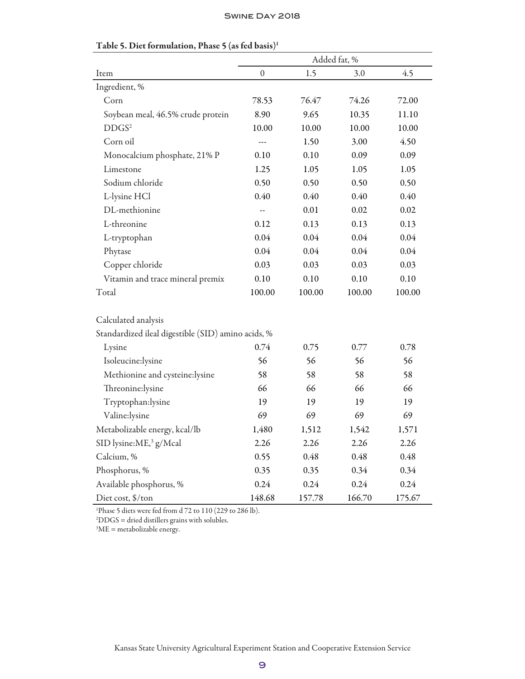|                                                    | Added fat, %     |        |        |        |  |
|----------------------------------------------------|------------------|--------|--------|--------|--|
| Item                                               | $\boldsymbol{0}$ | 1.5    | 3.0    | 4.5    |  |
| Ingredient, %                                      |                  |        |        |        |  |
| Corn                                               | 78.53            | 76.47  | 74.26  | 72.00  |  |
| Soybean meal, 46.5% crude protein                  | 8.90             | 9.65   | 10.35  | 11.10  |  |
| DDGS <sup>2</sup>                                  | 10.00            | 10.00  | 10.00  | 10.00  |  |
| Corn oil                                           | $---$            | 1.50   | 3.00   | 4.50   |  |
| Monocalcium phosphate, 21% P                       | 0.10             | 0.10   | 0.09   | 0.09   |  |
| Limestone                                          | 1.25             | 1.05   | 1.05   | 1.05   |  |
| Sodium chloride                                    | 0.50             | 0.50   | 0.50   | 0.50   |  |
| L-lysine HCl                                       | 0.40             | 0.40   | 0.40   | 0.40   |  |
| DL-methionine                                      |                  | 0.01   | 0.02   | 0.02   |  |
| L-threonine                                        | 0.12             | 0.13   | 0.13   | 0.13   |  |
| L-tryptophan                                       | 0.04             | 0.04   | 0.04   | 0.04   |  |
| Phytase                                            | 0.04             | 0.04   | 0.04   | 0.04   |  |
| Copper chloride                                    | 0.03             | 0.03   | 0.03   | 0.03   |  |
| Vitamin and trace mineral premix                   | 0.10             | 0.10   | 0.10   | 0.10   |  |
| Total                                              | 100.00           | 100.00 | 100.00 | 100.00 |  |
| Calculated analysis                                |                  |        |        |        |  |
| Standardized ileal digestible (SID) amino acids, % |                  |        |        |        |  |
| Lysine                                             | 0.74             | 0.75   | 0.77   | 0.78   |  |
| Isoleucine:lysine                                  | 56               | 56     | 56     | 56     |  |
| Methionine and cysteine:lysine                     | 58               | 58     | 58     | 58     |  |
| Threonine:lysine                                   | 66               | 66     | 66     | 66     |  |
| Tryptophan:lysine                                  | 19               | 19     | 19     | 19     |  |
| Valine:lysine                                      | 69               | 69     | 69     | 69     |  |
| Metabolizable energy, kcal/lb                      | 1,480            | 1,512  | 1,542  | 1,571  |  |
| SID lysine:ME, <sup>3</sup> g/Mcal                 | 2.26             | 2.26   | 2.26   | 2.26   |  |
| Calcium, %                                         | 0.55             | 0.48   | 0.48   | 0.48   |  |
| Phosphorus, %                                      | 0.35             | 0.35   | 0.34   | 0.34   |  |
| Available phosphorus, %                            | 0.24             | 0.24   | 0.24   | 0.24   |  |
| Diet cost, \$/ton                                  | 148.68           | 157.78 | 166.70 | 175.67 |  |

# Table 5. Diet formulation, Phase 5 (as fed basis)1

1 Phase 5 diets were fed from d 72 to 110 (229 to 286 lb).

2 DDGS = dried distillers grains with solubles. 3 ME = metabolizable energy.